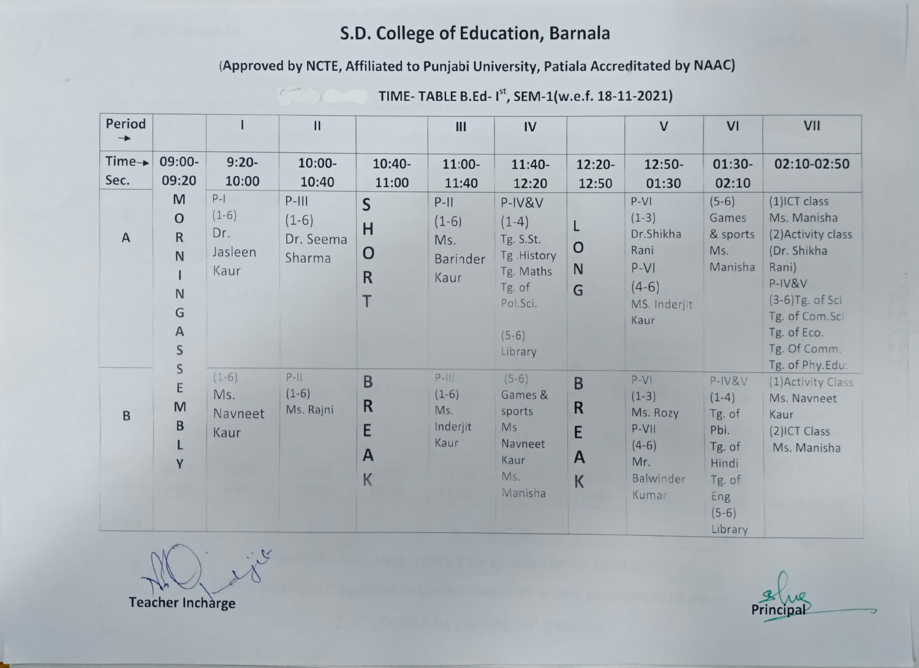#### (Approved by NCTE, Affiliated to Punjabi University, Patiala Accreditated by NAAC)

| Period                     |                                                                           |                                            | $\mathbf{II}$                             |                                                              | III                                                  | IV                                                                                                    |                                 | $\mathsf{V}$                                                                        | VI                                                                                              | VII                                                                                                                                                                            |
|----------------------------|---------------------------------------------------------------------------|--------------------------------------------|-------------------------------------------|--------------------------------------------------------------|------------------------------------------------------|-------------------------------------------------------------------------------------------------------|---------------------------------|-------------------------------------------------------------------------------------|-------------------------------------------------------------------------------------------------|--------------------------------------------------------------------------------------------------------------------------------------------------------------------------------|
| $Time \rightarrow$<br>Sec. | 09:00-<br>09:20                                                           | $9:20 -$<br>10:00                          | $10:00 -$<br>10:40                        | $10:40-$<br>11:00                                            | 11:00-<br>11:40                                      | $11:40-$<br>12:20                                                                                     | $12:20-$<br>12:50               | 12:50-<br>01:30                                                                     | $01:30-$<br>02:10                                                                               | 02:10-02:50                                                                                                                                                                    |
| $\overline{A}$             | M<br>$\mathsf O$<br>$\mathsf{R}$<br>$\mathsf{N}$<br>N<br>G<br>A<br>S<br>S | $P-I$<br>$(1-6)$<br>Dr.<br>Jasleen<br>Kaur | $P-III$<br>$(1-6)$<br>Dr. Seema<br>Sharma | $\mathsf{S}$<br>H<br>O<br>$\overline{\mathsf{R}}$            | $P-III$<br>$(1-6)$<br>Ms.<br><b>Barinder</b><br>Kaur | P-IV&V<br>$(1-4)$<br>Tg. S.St.<br>Tg.History<br>Tg. Maths<br>Tg. of<br>Pol.Sci.<br>$(5-6)$<br>Library | $\overline{O}$<br>N<br>G        | $P-VI$<br>$(1-3)$<br>Dr.Shikha<br>Rani<br>$P-VI$<br>$(4-6)$<br>MS. Inderjit<br>Kaur | $(5-6)$<br>Games<br>& sports<br>Ms.<br>Manisha                                                  | (1)ICT class<br>Ms. Manisha<br>(2) Activity class<br>(Dr. Shikha<br>Rani)<br>P-IV&V<br>$(3-6)$ Tg. of Sci<br>Tg. of Com. Sci<br>Tg. of Eco.<br>Tg. Of Comm.<br>Tg. of Phy.Edu. |
| $\overline{B}$             | E<br>M<br>B<br>Y                                                          | $(1-6)$<br>Ms.<br>Navneet<br>Kaur          | $P-  $<br>$(1-6)$<br>Ms. Rajni            | B<br>$\overline{\mathsf{R}}$<br>E<br>$\mathsf{A}$<br>$\sf K$ | $P-111$<br>$(1-6)$<br>Ms.<br>Inderjit<br>Kaur        | $(5-6)$<br>Games &<br>sports<br><b>Ms</b><br>Navneet<br>Kaur<br>Ms.<br>Manisha                        | B<br>$\mathsf R$<br>E<br>A<br>K | $P-VI$<br>$(1-3)$<br>Ms. Rozy<br>$P-VII$<br>$(4-6)$<br>Mr.<br>Balwinder<br>Kumar    | $P-IV8V$<br>$(1-4)$<br>Tg. of<br>Pbi.<br>Tg. of<br>Hindi<br>Tg. of<br>Eng<br>$(5-6)$<br>Library | (1) Activity Class<br>Ms. Navneet<br>Kaur<br>(2) ICT Class<br>Ms. Manisha                                                                                                      |

TIME-TABLE B.Ed- I<sup>st</sup>, SEM-1(w.e.f. 18-11-2021)

 $\chi$ **Teacher Incharge** 

ncina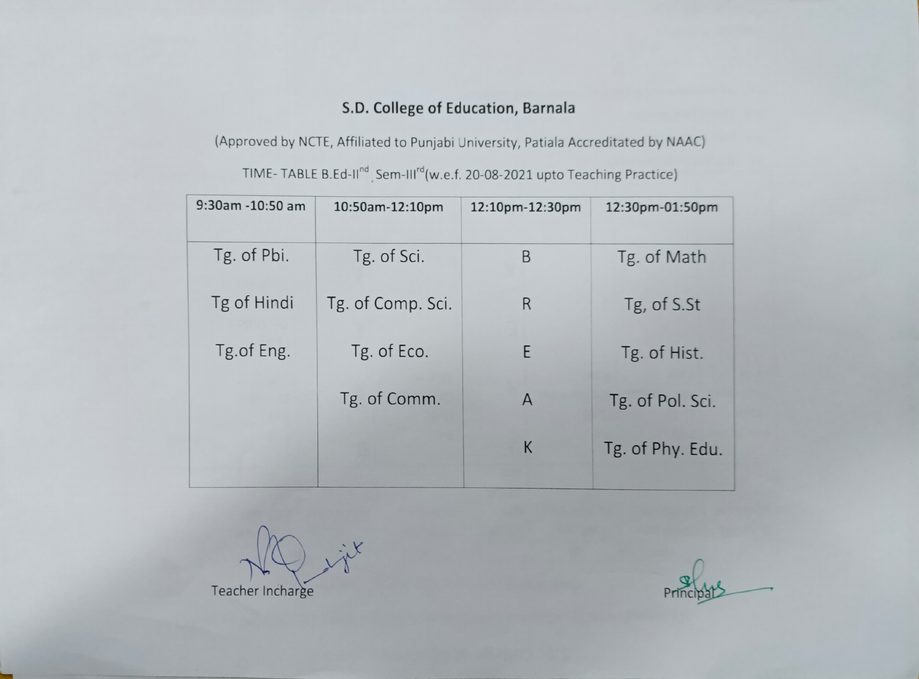(Approved by NCTE, Affiliated to Punjabi University, Patiala Accreditated by NAAC)

TIME- TABLE B.Ed-II<sup>nd</sup>, Sem-III<sup>rd</sup>(w.e.f. 20-08-2021 upto Teaching Practice)

| $9:30$ am -10:50 am | 10:50am-12:10pm   | 12:10pm-12:30pm | 12:30pm-01:50pm  |
|---------------------|-------------------|-----------------|------------------|
| Tg. of Pbi.         | Tg. of Sci.       | B               | Tg. of Math      |
| Tg of Hindi         | Tg. of Comp. Sci. | R               | Tg, of S.St      |
| Tg.of Eng.          | Tg. of Eco.       | E               | Tg. of Hist.     |
|                     | Tg. of Comm.      | A               | Tg. of Pol. Sci. |
|                     |                   | К               | Tg. of Phy. Edu. |

 $\div x$ Teacher Incharge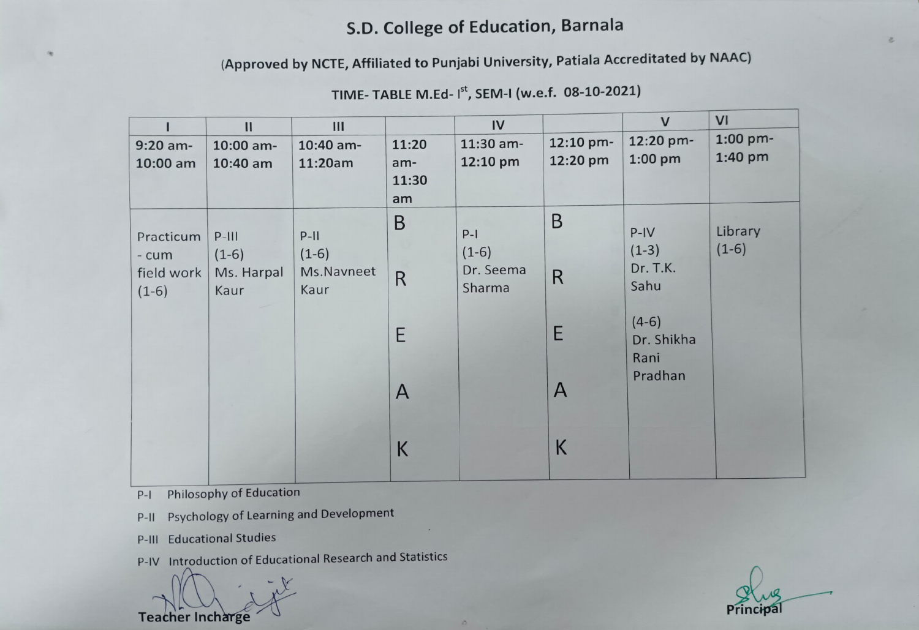(Approved by NCTE, Affiliated to Punjabi University, Patiala Accreditated by NAAC)

|            | $\mathbf{II}$ | III        |       | IV          |              | $\mathsf{V}$          | VI         |
|------------|---------------|------------|-------|-------------|--------------|-----------------------|------------|
| $9:20$ am- | 10:00 am-     | 10:40 am-  | 11:20 | $11:30$ am- | 12:10 pm-    | 12:20 pm-             | $1:00$ pm- |
| 10:00 am   | $10:40$ am    | 11:20am    | am-   | 12:10 pm    | 12:20 pm     | $1:00$ pm             | 1:40 pm    |
|            |               |            | 11:30 |             |              |                       |            |
|            |               |            | am    |             |              |                       |            |
| Practicum  | $P-III$       | $P-II$     | B     | $P-I$       | B            | $P-IV$                | Library    |
| - cum      | $(1-6)$       | $(1-6)$    |       | $(1-6)$     |              | $(1-3)$               | $(1-6)$    |
| field work | Ms. Harpal    | Ms.Navneet | R     | Dr. Seema   | $\mathsf{R}$ | Dr. T.K.              |            |
| $(1-6)$    | Kaur          | Kaur       |       | Sharma      |              | Sahu                  |            |
|            |               |            |       |             |              |                       |            |
|            |               |            | E     |             | E            | $(4-6)$<br>Dr. Shikha |            |
|            |               |            |       |             |              | Rani                  |            |
|            |               |            |       |             |              | Pradhan               |            |
|            |               |            | A     |             | A            |                       |            |
|            |               |            |       |             |              |                       |            |
|            |               |            |       |             |              |                       |            |
|            |               |            | К     |             | К            |                       |            |
|            |               |            |       |             |              |                       |            |

TIME-TABLE M.Ed- I<sup>st</sup>, SEM-I (w.e.f. 08-10-2021)

P-I Philosophy of Education

P-11 Psychology of Learning and Development

P-III Educational Studies

P-IV Introduction of Educational Research and Statistics

**Teacher Incharge** 

ш